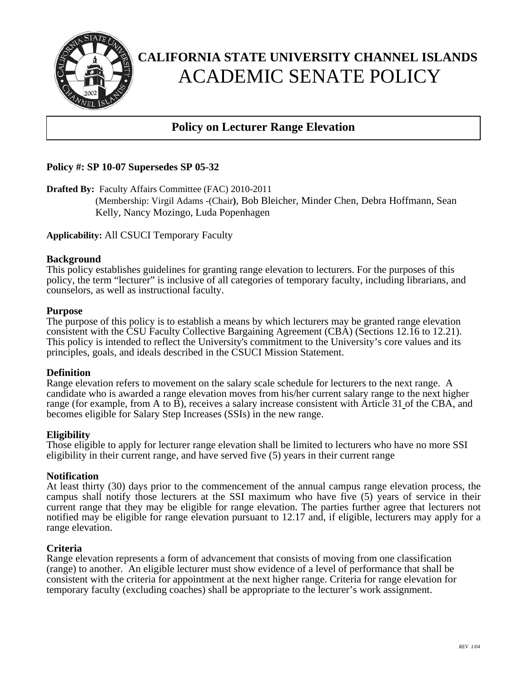

# **CALIFORNIA STATE UNIVERSITY CHANNEL ISLANDS**  ACADEMIC SENATE POLICY

# **Policy on Lecturer Range Elevation**

## **Policy #: SP 10-07 Supersedes SP 05-32**

**Drafted By:** Faculty Affairs Committee (FAC) 2010-2011

(Membership: Virgil Adams -(Chair**)**, Bob Bleicher, Minder Chen, Debra Hoffmann, Sean Kelly, Nancy Mozingo, Luda Popenhagen

**Applicability:** All CSUCI Temporary Faculty

#### **Background**

This policy establishes guidelines for granting range elevation to lecturers. For the purposes of this policy, the term "lecturer" is inclusive of all categories of temporary faculty, including librarians, and counselors, as well as instructional faculty.

#### **Purpose**

The purpose of this policy is to establish a means by which lecturers may be granted range elevation consistent with the CSU Faculty Collective Bargaining Agreement (CBA) (Sections 12.16 to 12.21). This policy is intended to reflect the University's commitment to the University's core values and its principles, goals, and ideals described in the CSUCI Mission Statement.

### **Definition**

Range elevation refers to movement on the salary scale schedule for lecturers to the next range. A candidate who is awarded a range elevation moves from his/her current salary range to the next higher range (for example, from A to B), receives a salary increase consistent with Article 31 of the CBA, and becomes eligible for Salary Step Increases (SSIs) in the new range.

### **Eligibility**

Those eligible to apply for lecturer range elevation shall be limited to lecturers who have no more SSI eligibility in their current range, and have served five (5) years in their current range

### **Notification**

At least thirty (30) days prior to the commencement of the annual campus range elevation process, the campus shall notify those lecturers at the SSI maximum who have five (5) years of service in their current range that they may be eligible for range elevation. The parties further agree that lecturers not notified may be eligible for range elevation pursuant to 12.17 and, if eligible, lecturers may apply for a range elevation.

### **Criteria**

Range elevation represents a form of advancement that consists of moving from one classification (range) to another. An eligible lecturer must show evidence of a level of performance that shall be consistent with the criteria for appointment at the next higher range. Criteria for range elevation for temporary faculty (excluding coaches) shall be appropriate to the lecturer's work assignment.